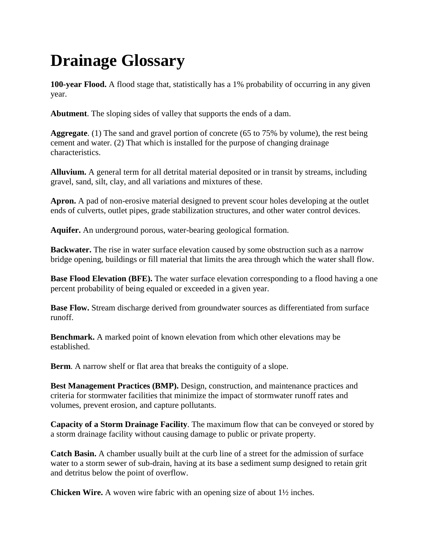## **Drainage Glossary**

**100-year Flood.** A flood stage that, statistically has a 1% probability of occurring in any given year.

**Abutment**. The sloping sides of valley that supports the ends of a dam.

**Aggregate**. (1) The sand and gravel portion of concrete (65 to 75% by volume), the rest being cement and water. (2) That which is installed for the purpose of changing drainage characteristics.

**Alluvium.** A general term for all detrital material deposited or in transit by streams, including gravel, sand, silt, clay, and all variations and mixtures of these.

**Apron.** A pad of non-erosive material designed to prevent scour holes developing at the outlet ends of culverts, outlet pipes, grade stabilization structures, and other water control devices.

**Aquifer.** An underground porous, water-bearing geological formation.

**Backwater.** The rise in water surface elevation caused by some obstruction such as a narrow bridge opening, buildings or fill material that limits the area through which the water shall flow.

**Base Flood Elevation (BFE).** The water surface elevation corresponding to a flood having a one percent probability of being equaled or exceeded in a given year.

**Base Flow.** Stream discharge derived from groundwater sources as differentiated from surface runoff.

**Benchmark.** A marked point of known elevation from which other elevations may be established.

**Berm**. A narrow shelf or flat area that breaks the contiguity of a slope.

**Best Management Practices (BMP).** Design, construction, and maintenance practices and criteria for stormwater facilities that minimize the impact of stormwater runoff rates and volumes, prevent erosion, and capture pollutants.

**Capacity of a Storm Drainage Facility**. The maximum flow that can be conveyed or stored by a storm drainage facility without causing damage to public or private property.

**Catch Basin.** A chamber usually built at the curb line of a street for the admission of surface water to a storm sewer of sub-drain, having at its base a sediment sump designed to retain grit and detritus below the point of overflow.

**Chicken Wire.** A woven wire fabric with an opening size of about  $1\frac{1}{2}$  inches.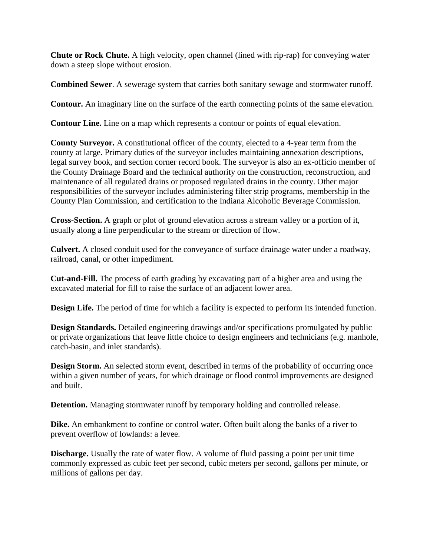**Chute or Rock Chute.** A high velocity, open channel (lined with rip-rap) for conveying water down a steep slope without erosion.

**Combined Sewer**. A sewerage system that carries both sanitary sewage and stormwater runoff.

**Contour.** An imaginary line on the surface of the earth connecting points of the same elevation.

**Contour Line.** Line on a map which represents a contour or points of equal elevation.

**County Surveyor.** A constitutional officer of the county, elected to a 4-year term from the county at large. Primary duties of the surveyor includes maintaining annexation descriptions, legal survey book, and section corner record book. The surveyor is also an ex-officio member of the County Drainage Board and the technical authority on the construction, reconstruction, and maintenance of all regulated drains or proposed regulated drains in the county. Other major responsibilities of the surveyor includes administering filter strip programs, membership in the County Plan Commission, and certification to the Indiana Alcoholic Beverage Commission.

**Cross-Section.** A graph or plot of ground elevation across a stream valley or a portion of it, usually along a line perpendicular to the stream or direction of flow.

**Culvert.** A closed conduit used for the conveyance of surface drainage water under a roadway, railroad, canal, or other impediment.

**Cut-and-Fill.** The process of earth grading by excavating part of a higher area and using the excavated material for fill to raise the surface of an adjacent lower area.

**Design Life.** The period of time for which a facility is expected to perform its intended function.

**Design Standards.** Detailed engineering drawings and/or specifications promulgated by public or private organizations that leave little choice to design engineers and technicians (e.g. manhole, catch-basin, and inlet standards).

**Design Storm.** An selected storm event, described in terms of the probability of occurring once within a given number of years, for which drainage or flood control improvements are designed and built.

**Detention.** Managing stormwater runoff by temporary holding and controlled release.

**Dike.** An embankment to confine or control water. Often built along the banks of a river to prevent overflow of lowlands: a levee.

**Discharge.** Usually the rate of water flow. A volume of fluid passing a point per unit time commonly expressed as cubic feet per second, cubic meters per second, gallons per minute, or millions of gallons per day.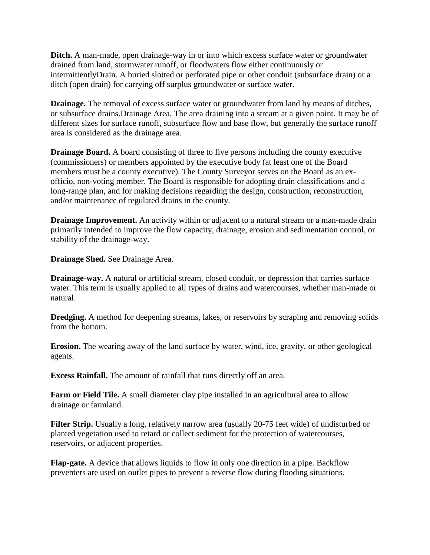**Ditch.** A man-made, open drainage-way in or into which excess surface water or groundwater drained from land, stormwater runoff, or floodwaters flow either continuously or intermittentlyDrain. A buried slotted or perforated pipe or other conduit (subsurface drain) or a ditch (open drain) for carrying off surplus groundwater or surface water.

**Drainage.** The removal of excess surface water or groundwater from land by means of ditches, or subsurface drains.Drainage Area. The area draining into a stream at a given point. It may be of different sizes for surface runoff, subsurface flow and base flow, but generally the surface runoff area is considered as the drainage area.

**Drainage Board.** A board consisting of three to five persons including the county executive (commissioners) or members appointed by the executive body (at least one of the Board members must be a county executive). The County Surveyor serves on the Board as an exofficio, non-voting member. The Board is responsible for adopting drain classifications and a long-range plan, and for making decisions regarding the design, construction, reconstruction, and/or maintenance of regulated drains in the county.

**Drainage Improvement.** An activity within or adjacent to a natural stream or a man-made drain primarily intended to improve the flow capacity, drainage, erosion and sedimentation control, or stability of the drainage-way.

**Drainage Shed.** See Drainage Area.

**Drainage-way.** A natural or artificial stream, closed conduit, or depression that carries surface water. This term is usually applied to all types of drains and watercourses, whether man-made or natural.

**Dredging.** A method for deepening streams, lakes, or reservoirs by scraping and removing solids from the bottom.

**Erosion.** The wearing away of the land surface by water, wind, ice, gravity, or other geological agents.

**Excess Rainfall.** The amount of rainfall that runs directly off an area.

**Farm or Field Tile.** A small diameter clay pipe installed in an agricultural area to allow drainage or farmland.

**Filter Strip.** Usually a long, relatively narrow area (usually 20-75 feet wide) of undisturbed or planted vegetation used to retard or collect sediment for the protection of watercourses, reservoirs, or adjacent properties.

**Flap-gate.** A device that allows liquids to flow in only one direction in a pipe. Backflow preventers are used on outlet pipes to prevent a reverse flow during flooding situations.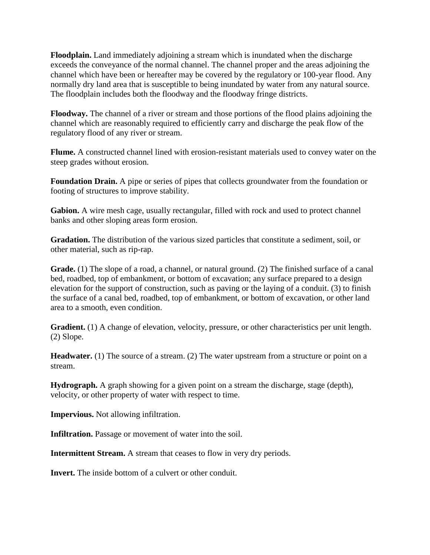**Floodplain.** Land immediately adjoining a stream which is inundated when the discharge exceeds the conveyance of the normal channel. The channel proper and the areas adjoining the channel which have been or hereafter may be covered by the regulatory or 100-year flood. Any normally dry land area that is susceptible to being inundated by water from any natural source. The floodplain includes both the floodway and the floodway fringe districts.

**Floodway.** The channel of a river or stream and those portions of the flood plains adjoining the channel which are reasonably required to efficiently carry and discharge the peak flow of the regulatory flood of any river or stream.

**Flume.** A constructed channel lined with erosion-resistant materials used to convey water on the steep grades without erosion.

**Foundation Drain.** A pipe or series of pipes that collects groundwater from the foundation or footing of structures to improve stability.

**Gabion.** A wire mesh cage, usually rectangular, filled with rock and used to protect channel banks and other sloping areas form erosion.

**Gradation.** The distribution of the various sized particles that constitute a sediment, soil, or other material, such as rip-rap.

**Grade.** (1) The slope of a road, a channel, or natural ground. (2) The finished surface of a canal bed, roadbed, top of embankment, or bottom of excavation; any surface prepared to a design elevation for the support of construction, such as paving or the laying of a conduit. (3) to finish the surface of a canal bed, roadbed, top of embankment, or bottom of excavation, or other land area to a smooth, even condition.

Gradient. (1) A change of elevation, velocity, pressure, or other characteristics per unit length. (2) Slope.

**Headwater.** (1) The source of a stream. (2) The water upstream from a structure or point on a stream.

**Hydrograph.** A graph showing for a given point on a stream the discharge, stage (depth), velocity, or other property of water with respect to time.

**Impervious.** Not allowing infiltration.

**Infiltration.** Passage or movement of water into the soil.

**Intermittent Stream.** A stream that ceases to flow in very dry periods.

**Invert.** The inside bottom of a culvert or other conduit.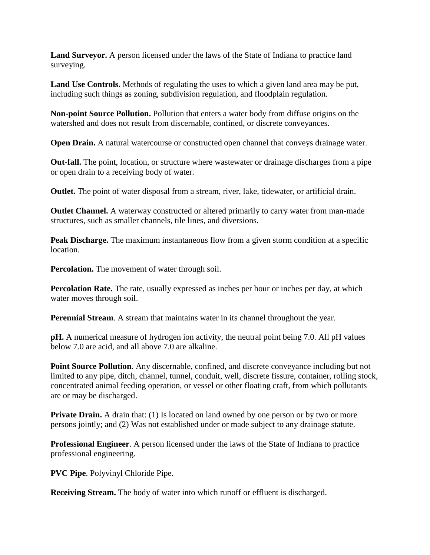**Land Surveyor.** A person licensed under the laws of the State of Indiana to practice land surveying.

**Land Use Controls.** Methods of regulating the uses to which a given land area may be put, including such things as zoning, subdivision regulation, and floodplain regulation.

**Non-point Source Pollution.** Pollution that enters a water body from diffuse origins on the watershed and does not result from discernable, confined, or discrete conveyances.

**Open Drain.** A natural watercourse or constructed open channel that conveys drainage water.

**Out-fall.** The point, location, or structure where wastewater or drainage discharges from a pipe or open drain to a receiving body of water.

**Outlet.** The point of water disposal from a stream, river, lake, tidewater, or artificial drain.

**Outlet Channel.** A waterway constructed or altered primarily to carry water from man-made structures, such as smaller channels, tile lines, and diversions.

**Peak Discharge.** The maximum instantaneous flow from a given storm condition at a specific location.

**Percolation.** The movement of water through soil.

**Percolation Rate.** The rate, usually expressed as inches per hour or inches per day, at which water moves through soil.

**Perennial Stream.** A stream that maintains water in its channel throughout the year.

**pH.** A numerical measure of hydrogen ion activity, the neutral point being 7.0. All pH values below 7.0 are acid, and all above 7.0 are alkaline.

**Point Source Pollution**. Any discernable, confined, and discrete conveyance including but not limited to any pipe, ditch, channel, tunnel, conduit, well, discrete fissure, container, rolling stock, concentrated animal feeding operation, or vessel or other floating craft, from which pollutants are or may be discharged.

**Private Drain.** A drain that: (1) Is located on land owned by one person or by two or more persons jointly; and (2) Was not established under or made subject to any drainage statute.

**Professional Engineer**. A person licensed under the laws of the State of Indiana to practice professional engineering.

**PVC Pipe**. Polyvinyl Chloride Pipe.

**Receiving Stream.** The body of water into which runoff or effluent is discharged.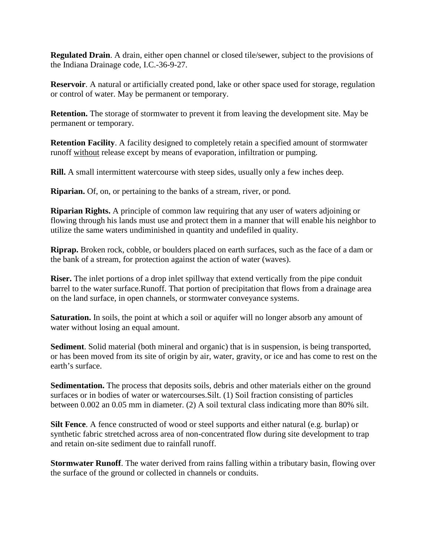**Regulated Drain**. A drain, either open channel or closed tile/sewer, subject to the provisions of the Indiana Drainage code, I.C.-36-9-27.

**Reservoir**. A natural or artificially created pond, lake or other space used for storage, regulation or control of water. May be permanent or temporary.

**Retention.** The storage of stormwater to prevent it from leaving the development site. May be permanent or temporary.

**Retention Facility**. A facility designed to completely retain a specified amount of stormwater runoff without release except by means of evaporation, infiltration or pumping.

**Rill.** A small intermittent watercourse with steep sides, usually only a few inches deep.

**Riparian.** Of, on, or pertaining to the banks of a stream, river, or pond.

**Riparian Rights.** A principle of common law requiring that any user of waters adjoining or flowing through his lands must use and protect them in a manner that will enable his neighbor to utilize the same waters undiminished in quantity and undefiled in quality.

**Riprap.** Broken rock, cobble, or boulders placed on earth surfaces, such as the face of a dam or the bank of a stream, for protection against the action of water (waves).

**Riser.** The inlet portions of a drop inlet spillway that extend vertically from the pipe conduit barrel to the water surface.Runoff. That portion of precipitation that flows from a drainage area on the land surface, in open channels, or stormwater conveyance systems.

**Saturation.** In soils, the point at which a soil or aquifer will no longer absorb any amount of water without losing an equal amount.

**Sediment**. Solid material (both mineral and organic) that is in suspension, is being transported, or has been moved from its site of origin by air, water, gravity, or ice and has come to rest on the earth's surface.

**Sedimentation.** The process that deposits soils, debris and other materials either on the ground surfaces or in bodies of water or watercourses.Silt. (1) Soil fraction consisting of particles between 0.002 an 0.05 mm in diameter. (2) A soil textural class indicating more than 80% silt.

**Silt Fence**. A fence constructed of wood or steel supports and either natural (e.g. burlap) or synthetic fabric stretched across area of non-concentrated flow during site development to trap and retain on-site sediment due to rainfall runoff.

**Stormwater Runoff.** The water derived from rains falling within a tributary basin, flowing over the surface of the ground or collected in channels or conduits.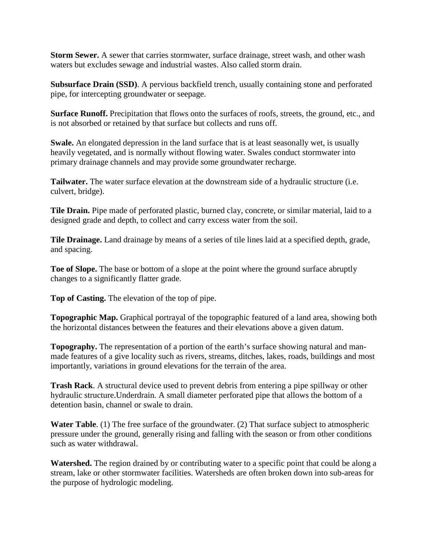**Storm Sewer.** A sewer that carries stormwater, surface drainage, street wash, and other wash waters but excludes sewage and industrial wastes. Also called storm drain.

**Subsurface Drain (SSD)**. A pervious backfield trench, usually containing stone and perforated pipe, for intercepting groundwater or seepage.

**Surface Runoff.** Precipitation that flows onto the surfaces of roofs, streets, the ground, etc., and is not absorbed or retained by that surface but collects and runs off.

**Swale.** An elongated depression in the land surface that is at least seasonally wet, is usually heavily vegetated, and is normally without flowing water. Swales conduct stormwater into primary drainage channels and may provide some groundwater recharge.

**Tailwater.** The water surface elevation at the downstream side of a hydraulic structure (i.e. culvert, bridge).

**Tile Drain.** Pipe made of perforated plastic, burned clay, concrete, or similar material, laid to a designed grade and depth, to collect and carry excess water from the soil.

**Tile Drainage.** Land drainage by means of a series of tile lines laid at a specified depth, grade, and spacing.

**Toe of Slope.** The base or bottom of a slope at the point where the ground surface abruptly changes to a significantly flatter grade.

**Top of Casting.** The elevation of the top of pipe.

**Topographic Map.** Graphical portrayal of the topographic featured of a land area, showing both the horizontal distances between the features and their elevations above a given datum.

**Topography.** The representation of a portion of the earth's surface showing natural and manmade features of a give locality such as rivers, streams, ditches, lakes, roads, buildings and most importantly, variations in ground elevations for the terrain of the area.

**Trash Rack**. A structural device used to prevent debris from entering a pipe spillway or other hydraulic structure.Underdrain. A small diameter perforated pipe that allows the bottom of a detention basin, channel or swale to drain.

**Water Table**. (1) The free surface of the groundwater. (2) That surface subject to atmospheric pressure under the ground, generally rising and falling with the season or from other conditions such as water withdrawal.

**Watershed.** The region drained by or contributing water to a specific point that could be along a stream, lake or other stormwater facilities. Watersheds are often broken down into sub-areas for the purpose of hydrologic modeling.